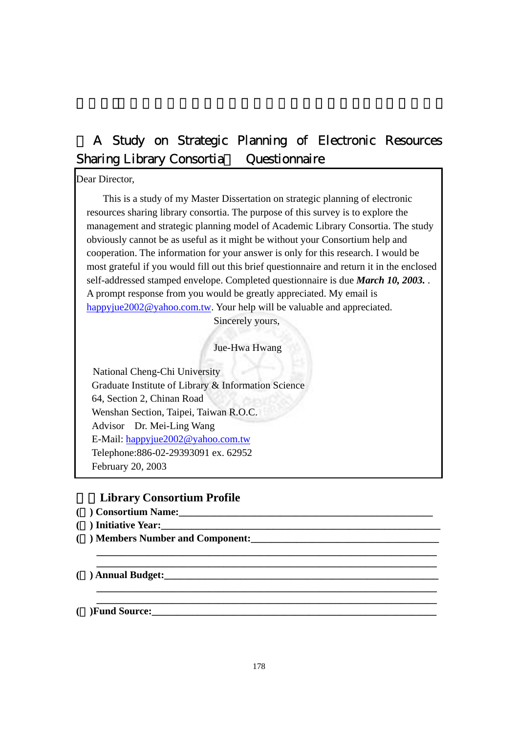# A Study on Strategic Planning of Electronic Resources Sharing Library Consortia』 Questionnaire

## Dear Director,

 This is a study of my Master Dissertation on strategic planning of electronic resources sharing library consortia. The purpose of this survey is to explore the management and strategic planning model of Academic Library Consortia. The study obviously cannot be as useful as it might be without your Consortium help and cooperation. The information for your answer is only for this research. I would be most grateful if you would fill out this brief questionnaire and return it in the enclosed self-addressed stamped envelope. Completed questionnaire is due *March 10, 2003.* . A prompt response from you would be greatly appreciated. My email is happyjue2002@yahoo.com.tw. Your help will be valuable and appreciated.

Sincerely yours,

## Jue-Hwa Hwang

 National Cheng-Chi University Graduate Institute of Library & Information Science 64, Section 2, Chinan Road Wenshan Section, Taipei, Taiwan R.O.C. Advisor Dr. Mei-Ling Wang E-Mail: happyjue2002@yahoo.com.tw Telephone:886-02-29393091 ex. 62952 February 20, 2003

# **Library Consortium Profile**

- **(**一**) Consortium Name:\_\_\_\_\_\_\_\_\_\_\_\_\_\_\_\_\_\_\_\_\_\_\_\_\_\_\_\_\_\_\_\_\_\_\_\_\_\_\_\_\_\_\_\_\_\_\_\_\_\_**
- ( ) Initiative Year:
- ( ) Members Number and Component:

**(**四**) Annual Budget:\_\_\_\_\_\_\_\_\_\_\_\_\_\_\_\_\_\_\_\_\_\_\_\_\_\_\_\_\_\_\_\_\_\_\_\_\_\_\_\_\_\_\_\_\_\_\_\_\_\_\_\_\_\_** 

#### **(**五**)Fund Source:\_\_\_\_\_\_\_\_\_\_\_\_\_\_\_\_\_\_\_\_\_\_\_\_\_\_\_\_\_\_\_\_\_\_\_\_\_\_\_\_\_\_\_\_\_\_\_\_\_\_\_\_\_\_\_\_**

 **\_\_\_\_\_\_\_\_\_\_\_\_\_\_\_\_\_\_\_\_\_\_\_\_\_\_\_\_\_\_\_\_\_\_\_\_\_\_\_\_\_\_\_\_\_\_\_\_\_\_\_\_\_\_\_\_\_\_\_\_\_\_\_\_\_\_\_ \_\_\_\_\_\_\_\_\_\_\_\_\_\_\_\_\_\_\_\_\_\_\_\_\_\_\_\_\_\_\_\_\_\_\_\_\_\_\_\_\_\_\_\_\_\_\_\_\_\_\_\_\_\_\_\_\_\_\_\_\_\_\_\_\_\_\_** 

 **\_\_\_\_\_\_\_\_\_\_\_\_\_\_\_\_\_\_\_\_\_\_\_\_\_\_\_\_\_\_\_\_\_\_\_\_\_\_\_\_\_\_\_\_\_\_\_\_\_\_\_\_\_\_\_\_\_\_\_\_\_\_\_\_\_\_\_ \_\_\_\_\_\_\_\_\_\_\_\_\_\_\_\_\_\_\_\_\_\_\_\_\_\_\_\_\_\_\_\_\_\_\_\_\_\_\_\_\_\_\_\_\_\_\_\_\_\_\_\_\_\_\_\_\_\_\_\_\_\_\_\_\_\_\_**